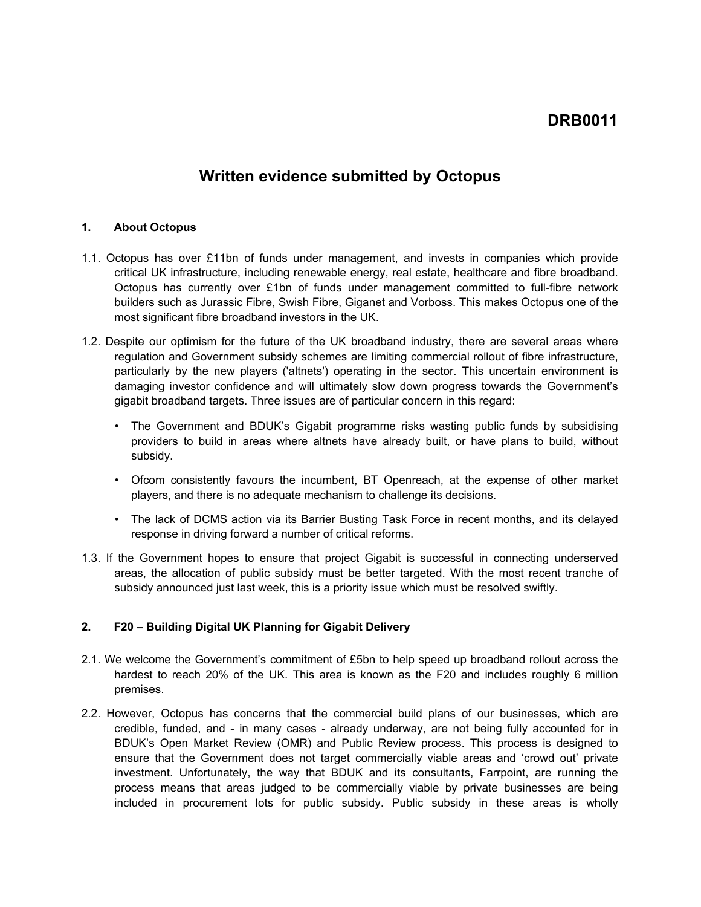# **DRB0011**

## **Written evidence submitted by Octopus**

#### **1. About Octopus**

- 1.1. Octopus has over £11bn of funds under management, and invests in companies which provide critical UK infrastructure, including renewable energy, real estate, healthcare and fibre broadband. Octopus has currently over £1bn of funds under management committed to full-fibre network builders such as Jurassic Fibre, Swish Fibre, Giganet and Vorboss. This makes Octopus one of the most significant fibre broadband investors in the UK.
- 1.2. Despite our optimism for the future of the UK broadband industry, there are several areas where regulation and Government subsidy schemes are limiting commercial rollout of fibre infrastructure, particularly by the new players ('altnets') operating in the sector. This uncertain environment is damaging investor confidence and will ultimately slow down progress towards the Government's gigabit broadband targets. Three issues are of particular concern in this regard:
	- The Government and BDUK's Gigabit programme risks wasting public funds by subsidising providers to build in areas where altnets have already built, or have plans to build, without subsidy.
	- Ofcom consistently favours the incumbent, BT Openreach, at the expense of other market players, and there is no adequate mechanism to challenge its decisions.
	- The lack of DCMS action via its Barrier Busting Task Force in recent months, and its delayed response in driving forward a number of critical reforms.
- 1.3. If the Government hopes to ensure that project Gigabit is successful in connecting underserved areas, the allocation of public subsidy must be better targeted. With the most recent tranche of subsidy announced just last week, this is a priority issue which must be resolved swiftly.

### **2. F20 – Building Digital UK Planning for Gigabit Delivery**

- 2.1. We welcome the Government's commitment of £5bn to help speed up broadband rollout across the hardest to reach 20% of the UK. This area is known as the F20 and includes roughly 6 million premises.
- 2.2. However, Octopus has concerns that the commercial build plans of our businesses, which are credible, funded, and - in many cases - already underway, are not being fully accounted for in BDUK's Open Market Review (OMR) and Public Review process. This process is designed to ensure that the Government does not target commercially viable areas and 'crowd out' private investment. Unfortunately, the way that BDUK and its consultants, Farrpoint, are running the process means that areas judged to be commercially viable by private businesses are being included in procurement lots for public subsidy. Public subsidy in these areas is wholly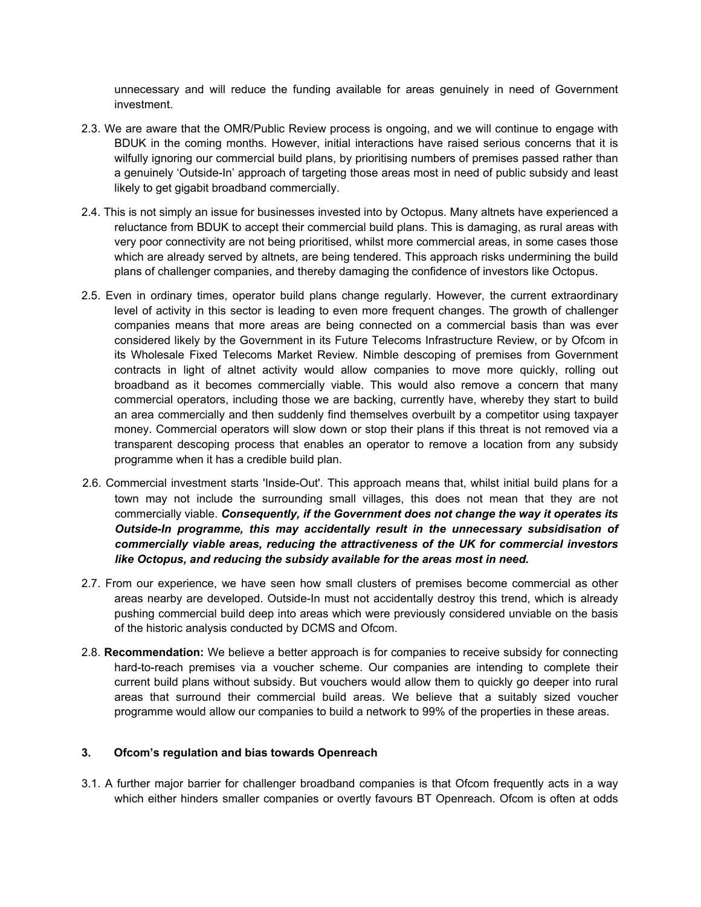unnecessary and will reduce the funding available for areas genuinely in need of Government investment.

- 2.3. We are aware that the OMR/Public Review process is ongoing, and we will continue to engage with BDUK in the coming months. However, initial interactions have raised serious concerns that it is wilfully ignoring our commercial build plans, by prioritising numbers of premises passed rather than a genuinely 'Outside-In' approach of targeting those areas most in need of public subsidy and least likely to get gigabit broadband commercially.
- 2.4. This is not simply an issue for businesses invested into by Octopus. Many altnets have experienced a reluctance from BDUK to accept their commercial build plans. This is damaging, as rural areas with very poor connectivity are not being prioritised, whilst more commercial areas, in some cases those which are already served by altnets, are being tendered. This approach risks undermining the build plans of challenger companies, and thereby damaging the confidence of investors like Octopus.
- 2.5. Even in ordinary times, operator build plans change regularly. However, the current extraordinary level of activity in this sector is leading to even more frequent changes. The growth of challenger companies means that more areas are being connected on a commercial basis than was ever considered likely by the Government in its Future Telecoms Infrastructure Review, or by Ofcom in its Wholesale Fixed Telecoms Market Review. Nimble descoping of premises from Government contracts in light of altnet activity would allow companies to move more quickly, rolling out broadband as it becomes commercially viable. This would also remove a concern that many commercial operators, including those we are backing, currently have, whereby they start to build an area commercially and then suddenly find themselves overbuilt by a competitor using taxpayer money. Commercial operators will slow down or stop their plans if this threat is not removed via a transparent descoping process that enables an operator to remove a location from any subsidy programme when it has a credible build plan.
- 2.6. Commercial investment starts 'Inside-Out'. This approach means that, whilst initial build plans for a town may not include the surrounding small villages, this does not mean that they are not commercially viable. *Consequently, if the Government does not change the way it operates its Outside-In programme, this may accidentally result in the unnecessary subsidisation of commercially viable areas, reducing the attractiveness of the UK for commercial investors like Octopus, and reducing the subsidy available for the areas most in need.*
- 2.7. From our experience, we have seen how small clusters of premises become commercial as other areas nearby are developed. Outside-In must not accidentally destroy this trend, which is already pushing commercial build deep into areas which were previously considered unviable on the basis of the historic analysis conducted by DCMS and Ofcom.
- 2.8. **Recommendation:** We believe a better approach is for companies to receive subsidy for connecting hard-to-reach premises via a voucher scheme. Our companies are intending to complete their current build plans without subsidy. But vouchers would allow them to quickly go deeper into rural areas that surround their commercial build areas. We believe that a suitably sized voucher programme would allow our companies to build a network to 99% of the properties in these areas.

### **3. Ofcom's regulation and bias towards Openreach**

3.1. A further major barrier for challenger broadband companies is that Ofcom frequently acts in a way which either hinders smaller companies or overtly favours BT Openreach. Ofcom is often at odds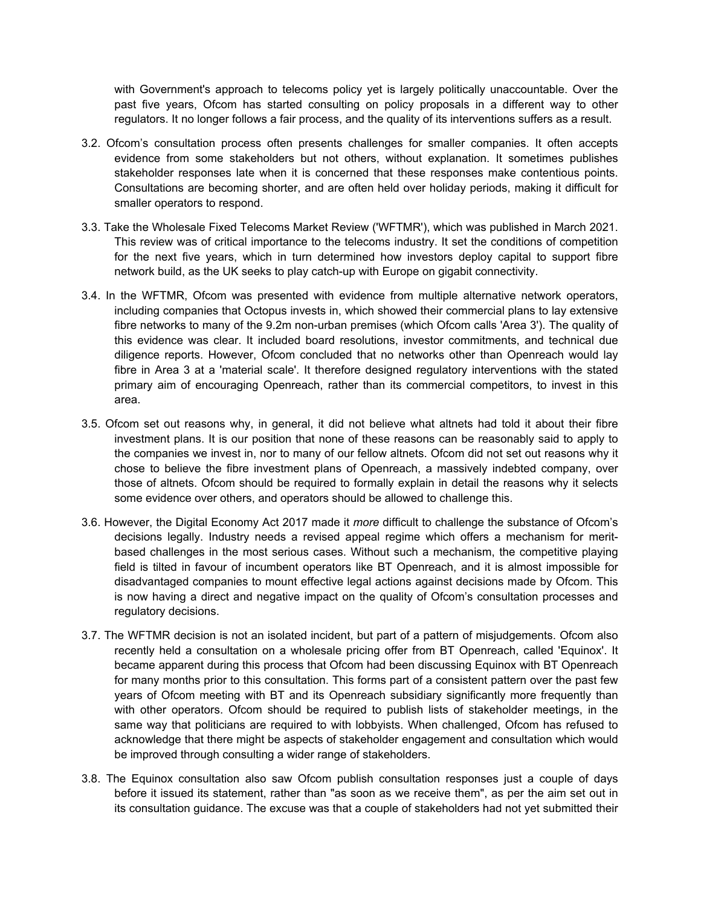with Government's approach to telecoms policy yet is largely politically unaccountable. Over the past five years, Ofcom has started consulting on policy proposals in a different way to other regulators. It no longer follows a fair process, and the quality of its interventions suffers as a result.

- 3.2. Ofcom's consultation process often presents challenges for smaller companies. It often accepts evidence from some stakeholders but not others, without explanation. It sometimes publishes stakeholder responses late when it is concerned that these responses make contentious points. Consultations are becoming shorter, and are often held over holiday periods, making it difficult for smaller operators to respond.
- 3.3. Take the Wholesale Fixed Telecoms Market Review ('WFTMR'), which was published in March 2021. This review was of critical importance to the telecoms industry. It set the conditions of competition for the next five years, which in turn determined how investors deploy capital to support fibre network build, as the UK seeks to play catch-up with Europe on gigabit connectivity.
- 3.4. In the WFTMR, Ofcom was presented with evidence from multiple alternative network operators, including companies that Octopus invests in, which showed their commercial plans to lay extensive fibre networks to many of the 9.2m non-urban premises (which Ofcom calls 'Area 3'). The quality of this evidence was clear. It included board resolutions, investor commitments, and technical due diligence reports. However, Ofcom concluded that no networks other than Openreach would lay fibre in Area 3 at a 'material scale'. It therefore designed regulatory interventions with the stated primary aim of encouraging Openreach, rather than its commercial competitors, to invest in this area.
- 3.5. Ofcom set out reasons why, in general, it did not believe what altnets had told it about their fibre investment plans. It is our position that none of these reasons can be reasonably said to apply to the companies we invest in, nor to many of our fellow altnets. Ofcom did not set out reasons why it chose to believe the fibre investment plans of Openreach, a massively indebted company, over those of altnets. Ofcom should be required to formally explain in detail the reasons why it selects some evidence over others, and operators should be allowed to challenge this.
- 3.6. However, the Digital Economy Act 2017 made it *more* difficult to challenge the substance of Ofcom's decisions legally. Industry needs a revised appeal regime which offers a mechanism for meritbased challenges in the most serious cases. Without such a mechanism, the competitive playing field is tilted in favour of incumbent operators like BT Openreach, and it is almost impossible for disadvantaged companies to mount effective legal actions against decisions made by Ofcom. This is now having a direct and negative impact on the quality of Ofcom's consultation processes and regulatory decisions.
- 3.7. The WFTMR decision is not an isolated incident, but part of a pattern of misjudgements. Ofcom also recently held a consultation on a wholesale pricing offer from BT Openreach, called 'Equinox'. It became apparent during this process that Ofcom had been discussing Equinox with BT Openreach for many months prior to this consultation. This forms part of a consistent pattern over the past few years of Ofcom meeting with BT and its Openreach subsidiary significantly more frequently than with other operators. Ofcom should be required to publish lists of stakeholder meetings, in the same way that politicians are required to with lobbyists. When challenged, Ofcom has refused to acknowledge that there might be aspects of stakeholder engagement and consultation which would be improved through consulting a wider range of stakeholders.
- 3.8. The Equinox consultation also saw Ofcom publish consultation responses just a couple of days before it issued its statement, rather than "as soon as we receive them", as per the aim set out in its consultation guidance. The excuse was that a couple of stakeholders had not yet submitted their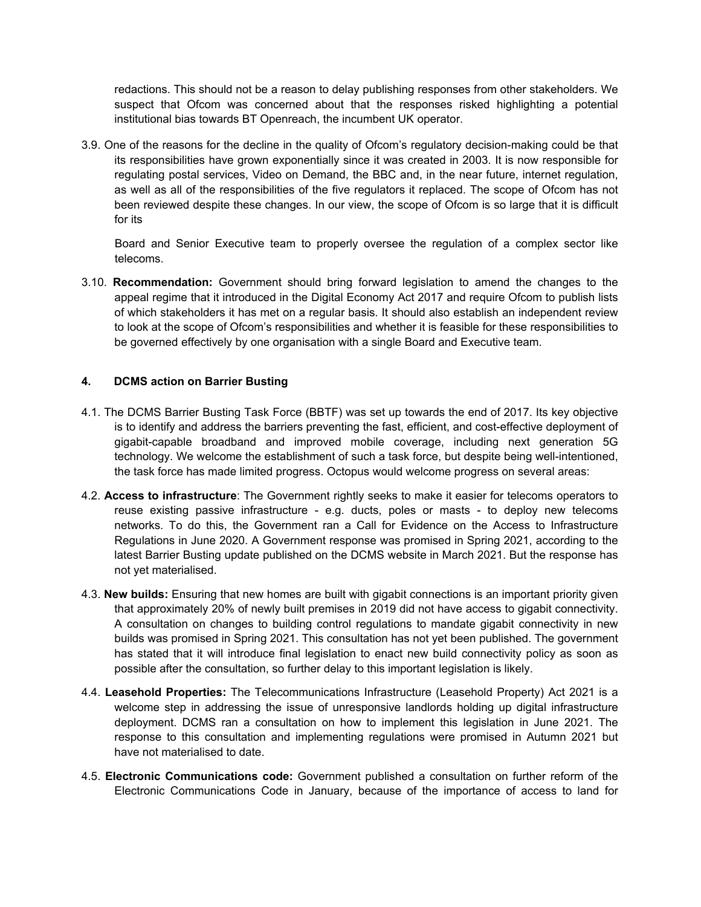redactions. This should not be a reason to delay publishing responses from other stakeholders. We suspect that Ofcom was concerned about that the responses risked highlighting a potential institutional bias towards BT Openreach, the incumbent UK operator.

3.9. One of the reasons for the decline in the quality of Ofcom's regulatory decision-making could be that its responsibilities have grown exponentially since it was created in 2003. It is now responsible for regulating postal services, Video on Demand, the BBC and, in the near future, internet regulation, as well as all of the responsibilities of the five regulators it replaced. The scope of Ofcom has not been reviewed despite these changes. In our view, the scope of Ofcom is so large that it is difficult for its

Board and Senior Executive team to properly oversee the regulation of a complex sector like telecoms.

3.10. **Recommendation:** Government should bring forward legislation to amend the changes to the appeal regime that it introduced in the Digital Economy Act 2017 and require Ofcom to publish lists of which stakeholders it has met on a regular basis. It should also establish an independent review to look at the scope of Ofcom's responsibilities and whether it is feasible for these responsibilities to be governed effectively by one organisation with a single Board and Executive team.

### **4. DCMS action on Barrier Busting**

- 4.1. The DCMS Barrier Busting Task Force (BBTF) was set up towards the end of 2017. Its key objective is to identify and address the barriers preventing the fast, efficient, and cost-effective deployment of gigabit-capable broadband and improved mobile coverage, including next generation 5G technology. We welcome the establishment of such a task force, but despite being well-intentioned, the task force has made limited progress. Octopus would welcome progress on several areas:
- 4.2. **Access to infrastructure**: The Government rightly seeks to make it easier for telecoms operators to reuse existing passive infrastructure - e.g. ducts, poles or masts - to deploy new telecoms networks. To do this, the Government ran a Call for Evidence on the Access to Infrastructure Regulations in June 2020. A Government response was promised in Spring 2021, according to the latest Barrier Busting update published on the DCMS website in March 2021. But the response has not yet materialised.
- 4.3. **New builds:** Ensuring that new homes are built with gigabit connections is an important priority given that approximately 20% of newly built premises in 2019 did not have access to gigabit connectivity. A consultation on changes to building control regulations to mandate gigabit connectivity in new builds was promised in Spring 2021. This consultation has not yet been published. The government has stated that it will introduce final legislation to enact new build connectivity policy as soon as possible after the consultation, so further delay to this important legislation is likely.
- 4.4. **Leasehold Properties:** The Telecommunications Infrastructure (Leasehold Property) Act 2021 is a welcome step in addressing the issue of unresponsive landlords holding up digital infrastructure deployment. DCMS ran a consultation on how to implement this legislation in June 2021. The response to this consultation and implementing regulations were promised in Autumn 2021 but have not materialised to date.
- 4.5. **Electronic Communications code:** Government published a consultation on further reform of the Electronic Communications Code in January, because of the importance of access to land for